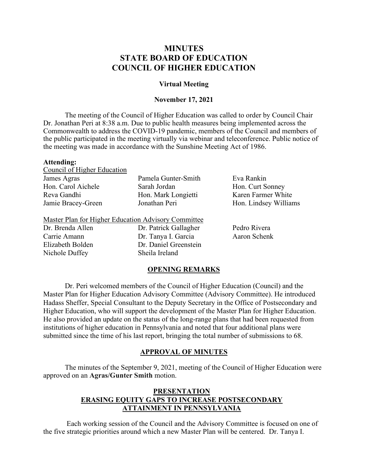# **MINUTES STATE BOARD OF EDUCATION COUNCIL OF HIGHER EDUCATION**

### **Virtual Meeting**

### **November 17, 2021**

 Dr. Jonathan Peri at 8:38 a.m. Due to public health measures being implemented across the The meeting of the Council of Higher Education was called to order by Council Chair Commonwealth to address the COVID-19 pandemic, members of the Council and members of the public participated in the meeting virtually via webinar and teleconference. Public notice of the meeting was made in accordance with the Sunshine Meeting Act of 1986.

### **Attending:**

Dr. Brenda Allen Carrie Amann Elizabeth Bolden

| Council of Higher Education |         |
|-----------------------------|---------|
| James Agras                 | Pamela  |
| Hon. Carol Aichele          | Sarah . |
| Reva Gandhi                 | Hon. N  |
| Jamie Bracey-Green          | Jonath  |
|                             |         |

Dr. Tanya I. Garcia Aaron Schenk Master Plan for Higher Education Advisory Committee Dr. Patrick Gallagher Pedro Rivera Dr. Daniel Greenstein Nichole Duffey Sheila Ireland

a Gunter-Smith Eva Rankin Sarah Jordan Hon. Curt Sonney Aark Longietti Karen Farmer White an Peri Hon. Lindsey Williams

### **OPENING REMARKS**

 Dr. Peri welcomed members of the Council of Higher Education (Council) and the Hadass Sheffer, Special Consultant to the Deputy Secretary in the Office of Postsecondary and submitted since the time of his last report, bringing the total number of submissions to 68. Master Plan for Higher Education Advisory Committee (Advisory Committee). He introduced Higher Education, who will support the development of the Master Plan for Higher Education. He also provided an update on the status of the long-range plans that had been requested from institutions of higher education in Pennsylvania and noted that four additional plans were

### **APPROVAL OF MINUTES**

The minutes of the September 9, 2021, meeting of the Council of Higher Education were approved on an **Agras/Gunter Smith** motion.

## **PRESENTATION ERASING EQUITY GAPS TO INCREASE POSTSECONDARY ATTAINMENT IN PENNSYLVANIA**

 the five strategic priorities around which a new Master Plan will be centered. Dr. Tanya I. Each working session of the Council and the Advisory Committee is focused on one of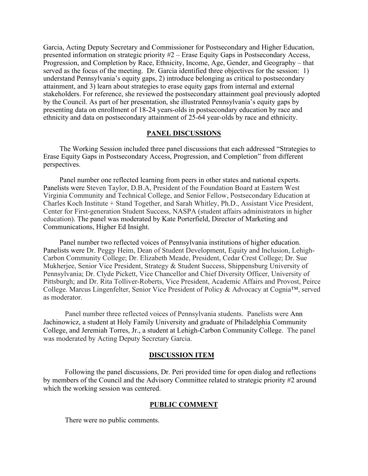presented information on strategic priority #2 – Erase Equity Gaps in Postsecondary Access, Progression, and Completion by Race, Ethnicity, Income, Age, Gender, and Geography – that served as the focus of the meeting. Dr. Garcia identified three objectives for the session: 1) Garcia, Acting Deputy Secretary and Commissioner for Postsecondary and Higher Education, understand Pennsylvania's equity gaps, 2) introduce belonging as critical to postsecondary attainment, and 3) learn about strategies to erase equity gaps from internal and external stakeholders. For reference, she reviewed the postsecondary attainment goal previously adopted by the Council. As part of her presentation, she illustrated Pennsylvania's equity gaps by presenting data on enrollment of 18-24 years-olds in postsecondary education by race and ethnicity and data on postsecondary attainment of 25-64 year-olds by race and ethnicity.

### **PANEL DISCUSSIONS**

The Working Session included three panel discussions that each addressed "Strategies to Erase Equity Gaps in Postsecondary Access, Progression, and Completion" from different perspectives.

Panel number one reflected learning from peers in other states and national experts. Panelists were Steven Taylor, D.B.A, President of the Foundation Board at Eastern West Virginia Community and Technical College, and Senior Fellow, Postsecondary Education at Charles Koch Institute + Stand Together, and Sarah Whitley, Ph.D., Assistant Vice President, Center for First-generation Student Success, NASPA (student affairs administrators in higher education). The panel was moderated by Kate Porterfield, Director of Marketing and Communications, Higher Ed Insight.

 Mukherjee, Senior Vice President, Strategy & Student Success, Shippensburg University of College. Marcus Lingenfelter, Senior Vice President of Policy & Advocacy at Cognia™, served Panel number two reflected voices of Pennsylvania institutions of higher education. Panelists were Dr. Peggy Heim, Dean of Student Development, Equity and Inclusion, Lehigh-Carbon Community College; Dr. Elizabeth Meade, President, Cedar Crest College; Dr. Sue Pennsylvania; Dr. Clyde Pickett, Vice Chancellor and Chief Diversity Officer, University of Pittsburgh; and Dr. Rita Tolliver-Roberts, Vice President, Academic Affairs and Provost, Peirce as moderator.

 Panel number three reflected voices of Pennsylvania students. Panelists were Ann Jachinowicz, a student at Holy Family University and graduate of Philadelphia Community College, and Jeremiah Torres, Jr., a student at Lehigh-Carbon Community College. The panel was moderated by Acting Deputy Secretary Garcia.

### **DISCUSSION ITEM**

Following the panel discussions, Dr. Peri provided time for open dialog and reflections by members of the Council and the Advisory Committee related to strategic priority #2 around which the working session was centered.

### **PUBLIC COMMENT**

There were no public comments.